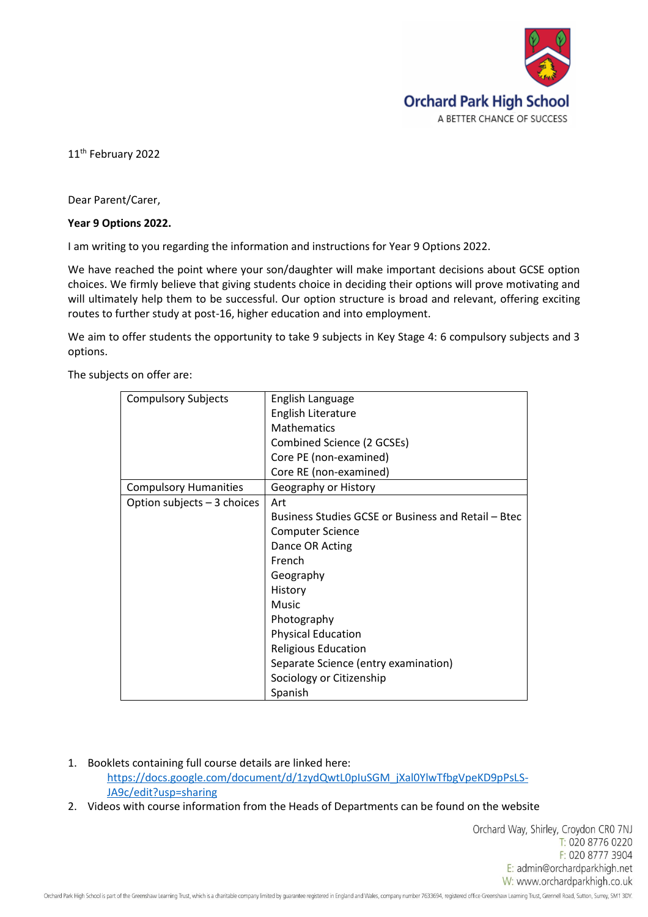

11<sup>th</sup> February 2022

Dear Parent/Carer,

## **Year 9 Options 2022.**

I am writing to you regarding the information and instructions for Year 9 Options 2022.

We have reached the point where your son/daughter will make important decisions about GCSE option choices. We firmly believe that giving students choice in deciding their options will prove motivating and will ultimately help them to be successful. Our option structure is broad and relevant, offering exciting routes to further study at post-16, higher education and into employment.

We aim to offer students the opportunity to take 9 subjects in Key Stage 4: 6 compulsory subjects and 3 options.

The subjects on offer are:

| <b>Compulsory Subjects</b>   | English Language                                    |
|------------------------------|-----------------------------------------------------|
|                              | <b>English Literature</b>                           |
|                              | <b>Mathematics</b>                                  |
|                              | Combined Science (2 GCSEs)                          |
|                              | Core PE (non-examined)                              |
|                              | Core RE (non-examined)                              |
| <b>Compulsory Humanities</b> | Geography or History                                |
| Option subjects - 3 choices  | Art                                                 |
|                              | Business Studies GCSE or Business and Retail - Btec |
|                              | Computer Science                                    |
|                              | Dance OR Acting                                     |
|                              | French                                              |
|                              | Geography                                           |
|                              | History                                             |
|                              | Music                                               |
|                              | Photography                                         |
|                              | <b>Physical Education</b>                           |
|                              | <b>Religious Education</b>                          |
|                              | Separate Science (entry examination)                |
|                              | Sociology or Citizenship                            |
|                              | Spanish                                             |

1. Booklets containing full course details are linked here:

[https://docs.google.com/document/d/1zydQwtL0pIuSGM\\_jXal0YlwTfbgVpeKD9pPsLS-](https://docs.google.com/document/d/1zydQwtL0pIuSGM_jXal0YlwTfbgVpeKD9pPsLS-JA9c/edit?usp=sharing)[JA9c/edit?usp=sharing](https://docs.google.com/document/d/1zydQwtL0pIuSGM_jXal0YlwTfbgVpeKD9pPsLS-JA9c/edit?usp=sharing)

2. Videos with course information from the Heads of Departments can be found on the website

Orchard Way, Shirley, Croydon CRO 7NJ T: 020 8776 0220 F: 020 8777 3904 E: admin@orchardparkhigh.net W: www.orchardparkhigh.co.uk